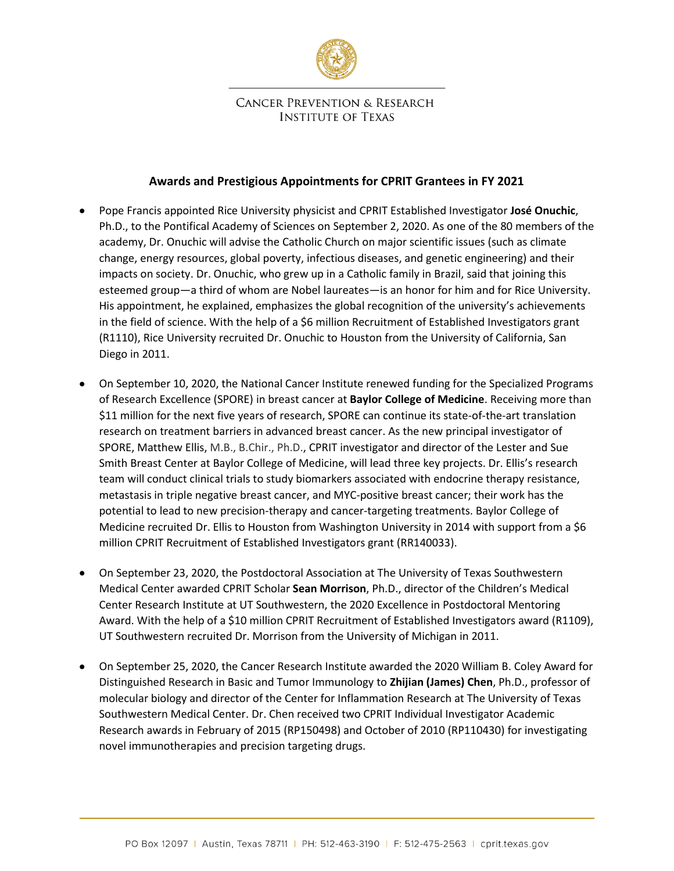

## **CANCER PREVENTION & RESEARCH INSTITUTE OF TEXAS**

## **Awards and Prestigious Appointments for CPRIT Grantees in FY 2021**

- Pope Francis appointed Rice University physicist and CPRIT Established Investigator **[José Onuchic](https://physics.rice.edu/people/jose-onuchic)**, Ph.D., to the Pontifical Academy of Sciences on September 2, 2020. As one of the 80 members of the academy, Dr. Onuchic will advise the Catholic Church on major scientific issues (such as climate change, energy resources, global poverty, infectious diseases, and genetic engineering) and their impacts on society. Dr. Onuchic, who grew up in a Catholic family in Brazil, said that joining this esteemed group—a third of whom are Nobel laureates—is an honor for him and for Rice University. His appointment, he explained, emphasizes the global recognition of the university's achievements in the field of science. With the help of a \$6 million Recruitment of Established Investigators grant (R1110), Rice University recruited Dr. Onuchic to Houston from the University of California, San Diego in 2011.
- On September 10, 2020, the National Cancer Institute renewed funding for the Specialized Programs of Research Excellence (SPORE) in breast cancer at **Baylor College of Medicine**. Receiving more than \$11 million for the next five years of research, SPORE can continue its state-of-the-art translation research on treatment barriers in advanced breast cancer. As the new principal investigator of SPORE, Matthew Ellis, M.B., B.Chir., Ph.D., CPRIT investigator and director of the Lester and Sue Smith Breast Center at Baylor College of Medicine, will lead three key projects. Dr. Ellis's research team will conduct clinical trials to study biomarkers associated with endocrine therapy resistance, metastasis in triple negative breast cancer, and MYC-positive breast cancer; their work has the potential to lead to new precision-therapy and cancer-targeting treatments. Baylor College of Medicine recruited Dr. Ellis to Houston from Washington University in 2014 with support from a \$6 million CPRIT Recruitment of Established Investigators grant (RR140033).
- On September 23, 2020, the Postdoctoral Association at The University of Texas Southwestern Medical Center awarded CPRIT Scholar **Sean Morrison**, Ph.D., director of the Children's Medical Center Research Institute at UT Southwestern, the 2020 Excellence in Postdoctoral Mentoring Award. With the help of a \$10 million CPRIT Recruitment of Established Investigators award (R1109), UT Southwestern recruited Dr. Morrison from the University of Michigan in 2011.
- On September 25, 2020, the Cancer Research Institute awarded the 2020 William B. Coley Award for Distinguished Research in Basic and Tumor Immunology to **Zhijian (James) Chen**, Ph.D., professor of molecular biology and director of the Center for Inflammation Research at The University of Texas Southwestern Medical Center. Dr. Chen received two CPRIT Individual Investigator Academic Research awards in February of 2015 (RP150498) and October of 2010 (RP110430) for investigating novel immunotherapies and precision targeting drugs.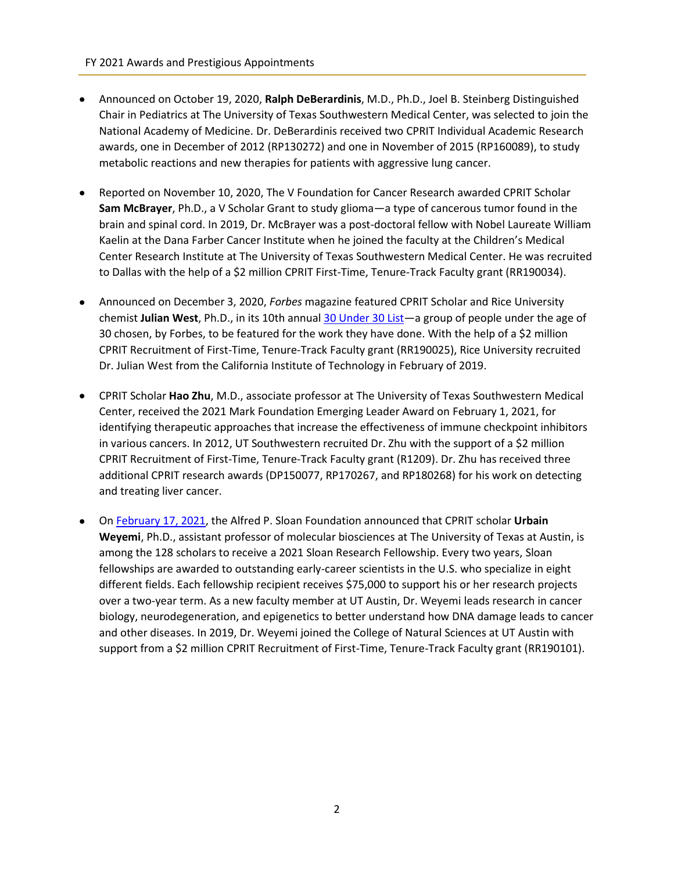- Announced on October 19, 2020, **Ralph DeBerardinis**, M.D., Ph.D., Joel B. Steinberg Distinguished Chair in Pediatrics at The University of Texas Southwestern Medical Center, was selected to join the National Academy of Medicine. Dr. DeBerardinis received two CPRIT Individual Academic Research awards, one in December of 2012 (RP130272) and one in November of 2015 (RP160089), to study metabolic reactions and new therapies for patients with aggressive lung cancer.
- Reported on November 10, 2020, The V Foundation for Cancer Research awarded CPRIT Scholar **Sam McBrayer**, Ph.D., a V Scholar Grant to study glioma—a type of cancerous tumor found in the brain and spinal cord. In 2019, Dr. McBrayer was a post-doctoral fellow with Nobel Laureate William Kaelin at the Dana Farber Cancer Institute when he joined the faculty at the Children's Medical Center Research Institute at The University of Texas Southwestern Medical Center. He was recruited to Dallas with the help of a \$2 million CPRIT First-Time, Tenure-Track Faculty grant (RR190034).
- Announced on December 3, 2020, *Forbes* magazine featured CPRIT Scholar and Rice University chemist **Julian West**, Ph.D., in its 10th annual [30 Under 30](https://www.forbes.com/30-under-30/2021/) List—a group of people under the age of 30 chosen, by Forbes, to be featured for the work they have done. With the help of a \$2 million CPRIT Recruitment of First-Time, Tenure-Track Faculty grant (RR190025), Rice University recruited Dr. Julian West from the California Institute of Technology in February of 2019.
- CPRIT Scholar **Hao Zhu**, M.D., associate professor at The University of Texas Southwestern Medical Center, received the 2021 Mark Foundation Emerging Leader Award on February 1, 2021, for identifying therapeutic approaches that increase the effectiveness of immune checkpoint inhibitors in various cancers. In 2012, UT Southwestern recruited Dr. Zhu with the support of a \$2 million CPRIT Recruitment of First-Time, Tenure-Track Faculty grant (R1209). Dr. Zhu has received three additional CPRIT research awards (DP150077, RP170267, and RP180268) for his work on detecting and treating liver cancer.
- O[n February 17, 2021,](https://sloan.org/fellowships/2021-Fellows) the Alfred P. Sloan Foundation announced that CPRIT scholar **Urbain Weyemi**, Ph.D., assistant professor of molecular biosciences at The University of Texas at Austin, is among the 128 scholars to receive a 2021 Sloan Research Fellowship. Every two years, Sloan fellowships are awarded to outstanding early-career scientists in the U.S. who specialize in eight different fields. Each fellowship recipient receives \$75,000 to support his or her research projects over a two-year term. As a new faculty member at UT Austin, Dr. Weyemi leads research in cancer biology, neurodegeneration, and epigenetics to better understand how DNA damage leads to cancer and other diseases. In 2019, Dr. Weyemi joined the College of Natural Sciences at UT Austin with support from a \$2 million CPRIT Recruitment of First-Time, Tenure-Track Faculty grant (RR190101).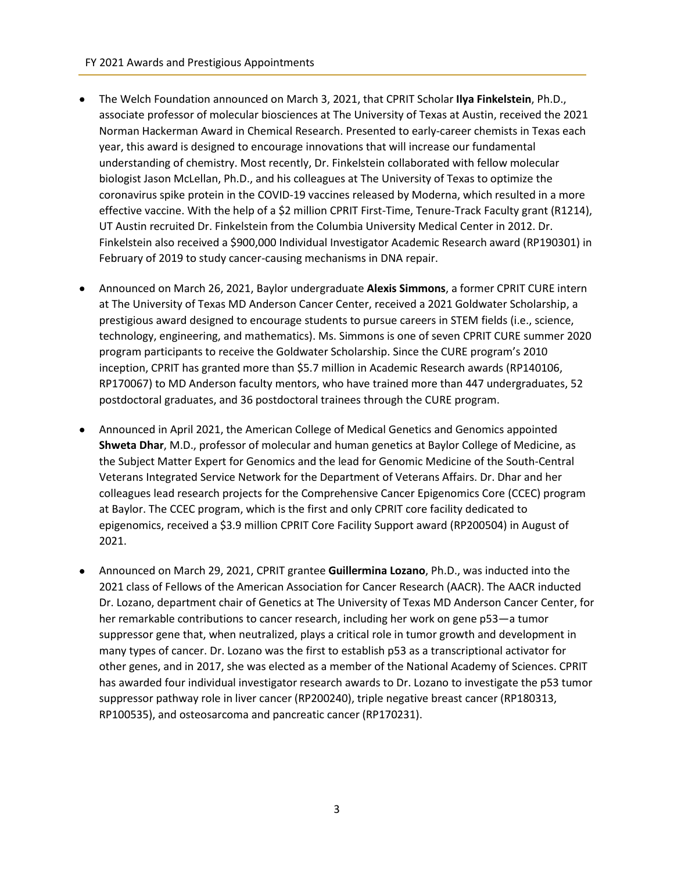- The Welch Foundation announced on March 3, 2021, that CPRIT Scholar **Ilya Finkelstein**, Ph.D., associate professor of molecular biosciences at The University of Texas at Austin, received the 2021 Norman Hackerman Award in Chemical Research. Presented to early-career chemists in Texas each year, this award is designed to encourage innovations that will increase our fundamental understanding of chemistry. Most recently, Dr. Finkelstein collaborated with fellow molecular biologist Jason McLellan, Ph.D., and his colleagues at The University of Texas to optimize the coronavirus spike protein in the COVID-19 vaccines released by Moderna, which resulted in a more effective vaccine. With the help of a \$2 million CPRIT First-Time, Tenure-Track Faculty grant (R1214), UT Austin recruited Dr. Finkelstein from the Columbia University Medical Center in 2012. Dr. Finkelstein also received a \$900,000 Individual Investigator Academic Research award (RP190301) in February of 2019 to study cancer-causing mechanisms in DNA repair.
- Announced on March 26, 2021, Baylor undergraduate **Alexis Simmons**, a former CPRIT CURE intern at The University of Texas MD Anderson Cancer Center, received a 2021 Goldwater Scholarship, a prestigious award designed to encourage students to pursue careers in STEM fields (i.e., science, technology, engineering, and mathematics). Ms. Simmons is one of seven CPRIT CURE summer 2020 program participants to receive the Goldwater Scholarship. Since the CURE program's 2010 inception, CPRIT has granted more than \$5.7 million in Academic Research awards (RP140106, RP170067) to MD Anderson faculty mentors, who have trained more than 447 undergraduates, 52 postdoctoral graduates, and 36 postdoctoral trainees through the CURE program.
- Announced in April 2021, the American College of Medical Genetics and Genomics appointed **Shweta Dhar**, M.D., professor of molecular and human genetics at Baylor College of Medicine, as the Subject Matter Expert for Genomics and the lead for Genomic Medicine of the South-Central Veterans Integrated Service Network for the Department of Veterans Affairs. Dr. Dhar and her colleagues lead research projects for the Comprehensive Cancer Epigenomics Core (CCEC) program at Baylor. The CCEC program, which is the first and only CPRIT core facility dedicated to epigenomics, received a \$3.9 million CPRIT Core Facility Support award (RP200504) in August of 2021.
- Announced on March 29, 2021, CPRIT grantee **Guillermina Lozano**, Ph.D., was inducted into the 2021 class of Fellows of the American Association for Cancer Research (AACR). The AACR inducted Dr. Lozano, department chair of Genetics at The University of Texas MD Anderson Cancer Center, for her remarkable contributions to cancer research, including her work on gene p53—a tumor suppressor gene that, when neutralized, plays a critical role in tumor growth and development in many types of cancer. Dr. Lozano was the first to establish p53 as a transcriptional activator for other genes, and in 2017, she was elected as a member of the National Academy of Sciences. CPRIT has awarded four individual investigator research awards to Dr. Lozano to investigate the p53 tumor suppressor pathway role in liver cancer (RP200240), triple negative breast cancer (RP180313, RP100535), and osteosarcoma and pancreatic cancer (RP170231).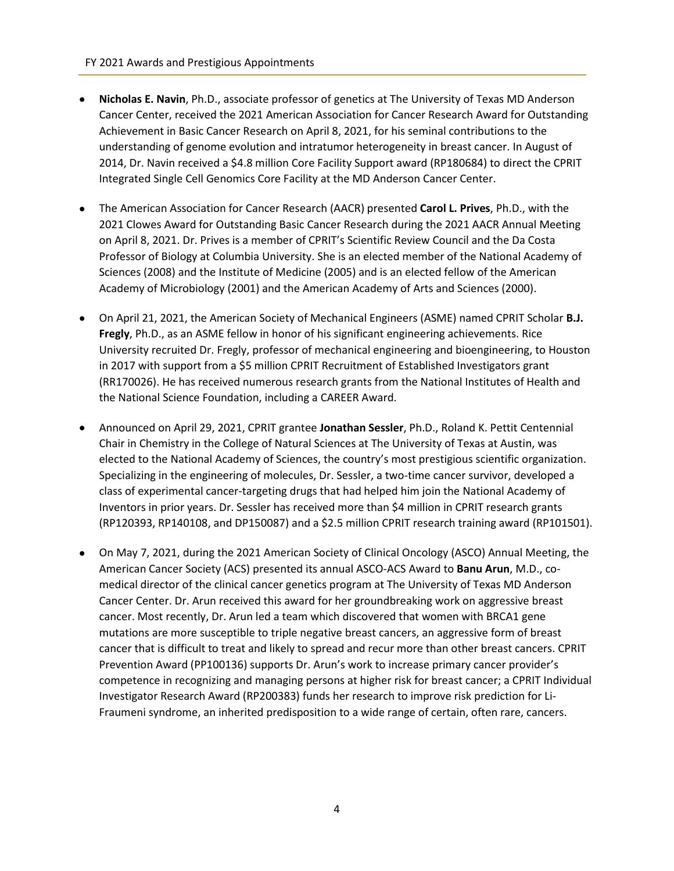- **Nicholas E. Navin**, Ph.D., associate professor of genetics at The University of Texas MD Anderson Cancer Center, received the 2021 American Association for Cancer Research Award for Outstanding Achievement in Basic Cancer Research on April 8, 2021, for his seminal contributions to the understanding of genome evolution and intratumor heterogeneity in breast cancer. In August of 2014, Dr. Navin received a \$4.8 million Core Facility Support award (RP180684) to direct the CPRIT Integrated Single Cell Genomics Core Facility at the MD Anderson Cancer Center.
- The American Association for Cancer Research (AACR) presented **Carol L. Prives**, Ph.D., with the 2021 Clowes Award for Outstanding Basic Cancer Research during the 2021 AACR Annual Meeting on April 8, 2021. Dr. Prives is a member of CPRIT's Scientific Review Council and the Da Costa Professor of Biology at Columbia University. She is an elected member of the National Academy of Sciences (2008) and the Institute of Medicine (2005) and is an elected fellow of the American Academy of Microbiology (2001) and the American Academy of Arts and Sciences (2000).
- On April 21, 2021, the American Society of Mechanical Engineers (ASME) named CPRIT Scholar **B.J. Fregly**, Ph.D., as an ASME fellow in honor of his significant engineering achievements. Rice University recruited Dr. Fregly, professor of mechanical engineering and bioengineering, to Houston in 2017 with support from a \$5 million CPRIT Recruitment of Established Investigators grant (RR170026). He has received numerous research grants from the National Institutes of Health and the National Science Foundation, including a CAREER Award.
- Announced on April 29, 2021, CPRIT grantee **Jonathan Sessler**, Ph.D., Roland K. Pettit Centennial Chair in Chemistry in the College of Natural Sciences at The University of Texas at Austin, was elected to the National Academy of Sciences, the country's most prestigious scientific organization. Specializing in the engineering of molecules, Dr. Sessler, a two-time cancer survivor, developed a class of experimental cancer-targeting drugs that had helped him join the National Academy of Inventors in prior years. Dr. Sessler has received more than \$4 million in CPRIT research grants (RP120393, RP140108, and DP150087) and a \$2.5 million CPRIT research training award (RP101501).
- On May 7, 2021, during the 2021 American Society of Clinical Oncology (ASCO) Annual Meeting, the American Cancer Society (ACS) presented its annual ASCO-ACS Award to **Banu Arun**, M.D., comedical director of the clinical cancer genetics program at The University of Texas MD Anderson Cancer Center. Dr. Arun received this award for her groundbreaking work on aggressive breast cancer. Most recently, Dr. Arun led a team which discovered that women with BRCA1 gene mutations are more susceptible to triple negative breast cancers, an aggressive form of breast cancer that is difficult to treat and likely to spread and recur more than other breast cancers. CPRIT Prevention Award (PP100136) supports Dr. Arun's work to increase primary cancer provider's competence in recognizing and managing persons at higher risk for breast cancer; a CPRIT Individual Investigator Research Award (RP200383) funds her research to improve risk prediction for Li-Fraumeni syndrome, an inherited predisposition to a wide range of certain, often rare, cancers.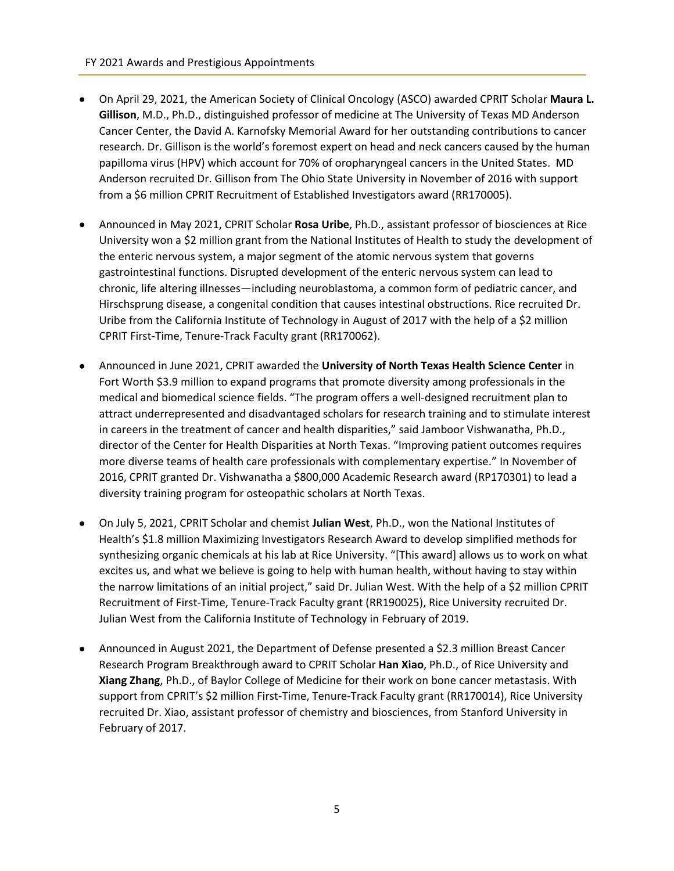- On April 29, 2021, the American Society of Clinical Oncology (ASCO) awarded CPRIT Scholar **Maura L. Gillison**, M.D., Ph.D., distinguished professor of medicine at The University of Texas MD Anderson Cancer Center, the David A. Karnofsky Memorial Award for her outstanding contributions to cancer research. Dr. Gillison is the world's foremost expert on head and neck cancers caused by the human papilloma virus (HPV) which account for 70% of oropharyngeal cancers in the United States. MD Anderson recruited Dr. Gillison from The Ohio State University in November of 2016 with support from a \$6 million CPRIT Recruitment of Established Investigators award (RR170005).
- Announced in May 2021, CPRIT Scholar **Rosa Uribe**, Ph.D., assistant professor of biosciences at Rice University won a \$2 million grant from the National Institutes of Health to study the development of the enteric nervous system, a major segment of the atomic nervous system that governs gastrointestinal functions. Disrupted development of the enteric nervous system can lead to chronic, life altering illnesses—including neuroblastoma, a common form of pediatric cancer, and Hirschsprung disease, a congenital condition that causes intestinal obstructions. Rice recruited Dr. Uribe from the California Institute of Technology in August of 2017 with the help of a \$2 million CPRIT First-Time, Tenure-Track Faculty grant (RR170062).
- Announced in June 2021, CPRIT awarded the **University of North Texas Health Science Center** in Fort Worth \$3.9 million to expand programs that promote diversity among professionals in the medical and biomedical science fields. "The program offers a well-designed recruitment plan to attract underrepresented and disadvantaged scholars for research training and to stimulate interest in careers in the treatment of cancer and health disparities," said Jamboor Vishwanatha, Ph.D., director of the Center for Health Disparities at North Texas. "Improving patient outcomes requires more diverse teams of health care professionals with complementary expertise." In November of 2016, CPRIT granted Dr. Vishwanatha a \$800,000 Academic Research award (RP170301) to lead a diversity training program for osteopathic scholars at North Texas.
- On July 5, 2021, CPRIT Scholar and chemist **Julian West**, Ph.D., won the National Institutes of Health's \$1.8 million Maximizing Investigators Research Award to develop simplified methods for synthesizing organic chemicals at his lab at Rice University. "[This award] allows us to work on what excites us, and what we believe is going to help with human health, without having to stay within the narrow limitations of an initial project," said Dr. Julian West. With the help of a \$2 million CPRIT Recruitment of First-Time, Tenure-Track Faculty grant (RR190025), Rice University recruited Dr. Julian West from the California Institute of Technology in February of 2019.
- Announced in August 2021, the Department of Defense presented a \$2.3 million Breast Cancer Research Program Breakthrough award to CPRIT Scholar **Han Xiao**, Ph.D., of Rice University and **Xiang Zhang**, Ph.D., of Baylor College of Medicine for their work on bone cancer metastasis. With support from CPRIT's \$2 million First-Time, Tenure-Track Faculty grant (RR170014), Rice University recruited Dr. Xiao, assistant professor of chemistry and biosciences, from Stanford University in February of 2017.